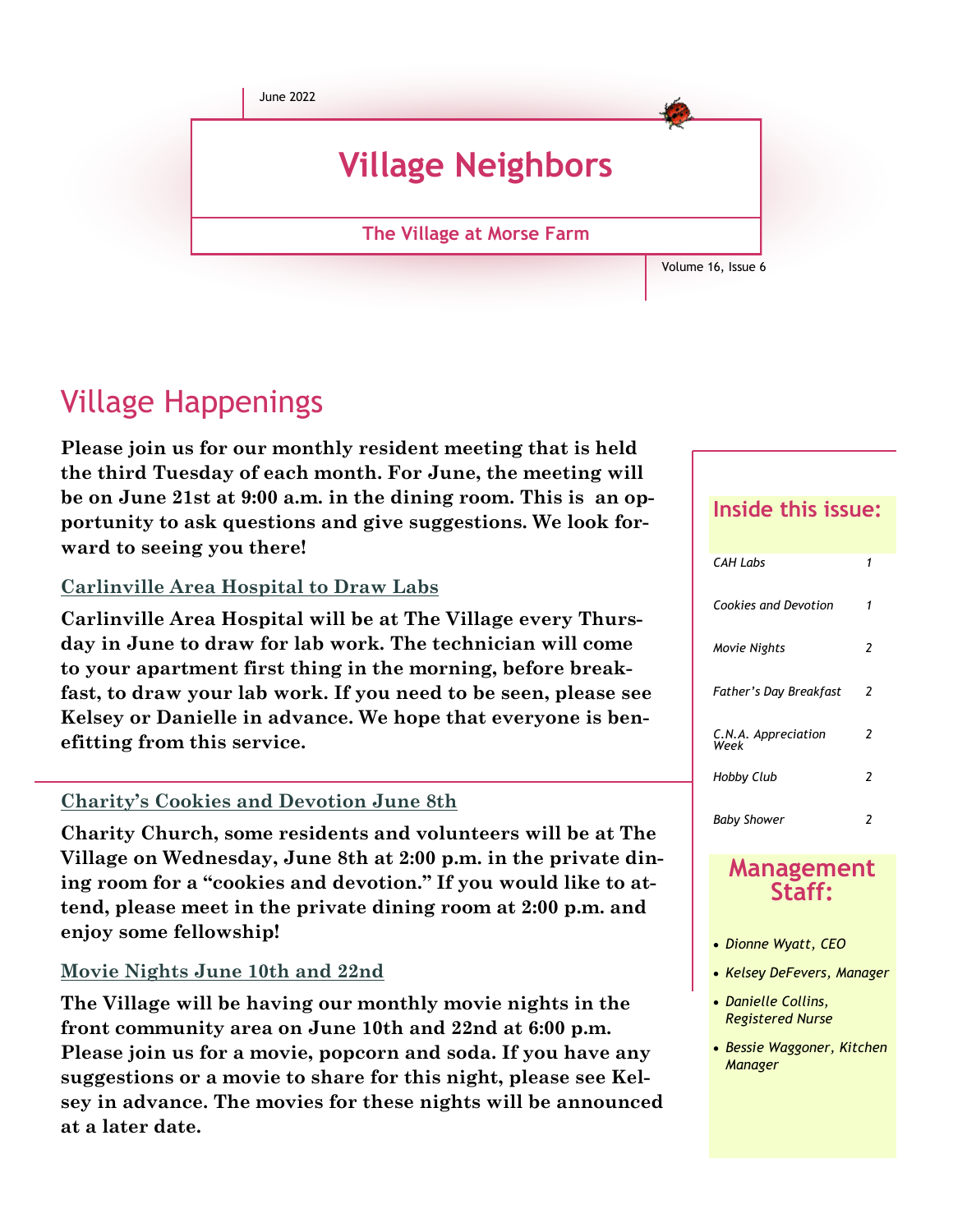

# Village Happenings

**Please join us for our monthly resident meeting that is held the third Tuesday of each month. For June, the meeting will be on June 21st at 9:00 a.m. in the dining room. This is an opportunity to ask questions and give suggestions. We look forward to seeing you there!**

## **Carlinville Area Hospital to Draw Labs**

**Carlinville Area Hospital will be at The Village every Thursday in June to draw for lab work. The technician will come to your apartment first thing in the morning, before breakfast, to draw your lab work. If you need to be seen, please see Kelsey or Danielle in advance. We hope that everyone is benefitting from this service.**

## **Charity's Cookies and Devotion June 8th**

**Charity Church, some residents and volunteers will be at The Village on Wednesday, June 8th at 2:00 p.m. in the private dining room for a "cookies and devotion." If you would like to attend, please meet in the private dining room at 2:00 p.m. and enjoy some fellowship!**

### **Movie Nights June 10th and 22nd**

**The Village will be having our monthly movie nights in the front community area on June 10th and 22nd at 6:00 p.m. Please join us for a movie, popcorn and soda. If you have any suggestions or a movie to share for this night, please see Kelsey in advance. The movies for these nights will be announced at a later date.**

## **Inside this issue:**

| <b>CAH Labs</b>             |   |
|-----------------------------|---|
| Cookies and Devotion        | 1 |
| Movie Nights                | 2 |
| Father's Day Breakfast      | 2 |
| C.N.A. Appreciation<br>Week | 2 |
| Hobby Club                  | 2 |
| <b>Baby Shower</b>          | 2 |

### **Management Staff:**

- *Dionne Wyatt, CEO*
- *Kelsey DeFevers, Manager*
- *Danielle Collins, Registered Nurse*
- *Bessie Waggoner, Kitchen Manager*